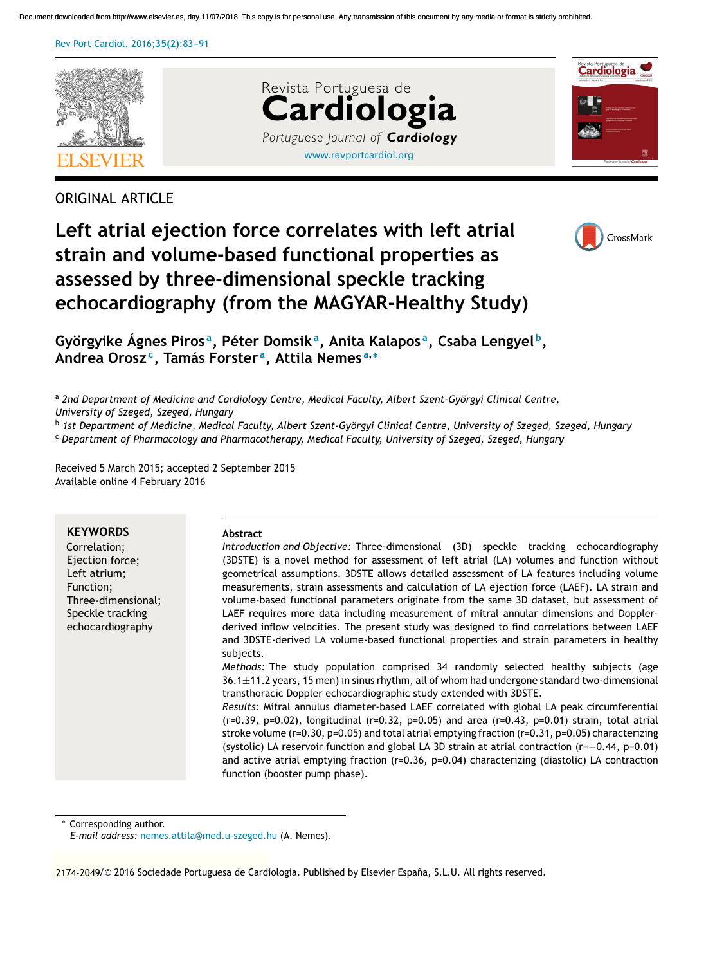#### Rev Port Cardiol. 2016;35(2):83-91



## www.revportcardiol.org Revista Portuguesa de **Cardiologia** *Portuguese Journal of Cardiology*



## ORIGINAL ARTICLE

# **Left atrial ejection force correlates with left atrial strain and volume-based functional properties as assessed by three-dimensional speckle tracking echocardiography (from the MAGYAR-Healthy Study)**



**Györgyike Ágnes Piros <sup>a</sup> , Péter Domsik<sup>a</sup> , Anita Kalapos <sup>a</sup> , Csaba Lengyel <sup>b</sup> , Andrea Orosz<sup>c</sup> , Tamás Forster <sup>a</sup> , Attila Nemes <sup>a</sup>**,<sup>∗</sup>

<sup>a</sup> *2nd Department of Medicine and Cardiology Centre, Medical Faculty, Albert Szent-Györgyi Clinical Centre, University of Szeged, Szeged, Hungary*

<sup>b</sup> 1st Department of Medicine, Medical Faculty, Albert Szent-Györgyi Clinical Centre, University of Szeged, Szeged, Hungary

<sup>c</sup> *Department of Pharmacology and Pharmacotherapy, Medical Faculty, University of Szeged, Szeged, Hungary*

Received 5 March 2015; accepted 2 September 2015 Available online 4 February 2016

#### **KEYWORDS**

Correlation; Ejection force; Left atrium; Function; Three-dimensional; Speckle tracking echocardiography

#### **Abstract**

*Introduction and Objective:* Three-dimensional (3D) speckle tracking echocardiography (3DSTE) is a novel method for assessment of left atrial (LA) volumes and function without geometrical assumptions. 3DSTE allows detailed assessment of LA features including volume measurements, strain assessments and calculation of LA ejection force (LAEF). LA strain and volume-based functional parameters originate from the same 3D dataset, but assessment of LAEF requires more data including measurement of mitral annular dimensions and Dopplerderived inflow velocities. The present study was designed to find correlations between LAEF and 3DSTE-derived LA volume-based functional properties and strain parameters in healthy subjects.

*Methods:* The study population comprised 34 randomly selected healthy subjects (age  $36.1\pm11.2$  years, 15 men) in sinus rhythm, all of whom had undergone standard two-dimensional transthoracic Doppler echocardiographic study extended with 3DSTE.

*Results:* Mitral annulus diameter-based LAEF correlated with global LA peak circumferential (r=0.39, p=0.02), longitudinal (r=0.32, p=0.05) and area (r=0.43, p=0.01) strain, total atrial stroke volume (r=0.30, p=0.05) and total atrial emptying fraction (r=0.31, p=0.05) characterizing (systolic) LA reservoir function and global LA 3D strain at atrial contraction (r=−0.44, p=0.01) and active atrial emptying fraction (r=0.36, p=0.04) characterizing (diastolic) LA contraction function (booster pump phase).

Corresponding author.

*E-mail address:* nemes.attila@med.u-szeged.hu (A. Nemes).

<sup>0870-2551/©</sup> 2174-2049 2016 Sociedade Portuguesa de Cardiologia. Published by Elsevier España, S.L.U. All rights reserved.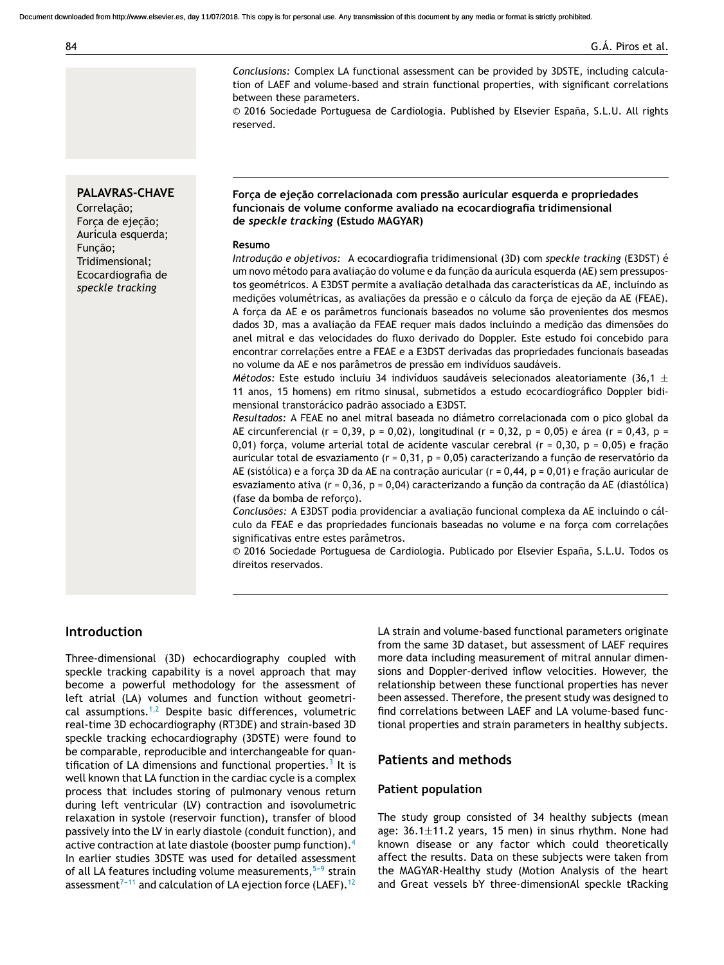*Conclusions:* Complex LA functional assessment can be provided by 3DSTE, including calculation of LAEF and volume-based and strain functional properties, with significant correlations between these parameters.

© 2016 Sociedade Portuguesa de Cardiologia. Published by Elsevier España, S.L.U. All rights reserved.

## **PALAVRAS-CHAVE**

Correlação; Forca de ejecão; Aurícula esquerda; Funcão: Tridimensional; Ecocardiografia de *speckle tracking*

**Forc¸a de ejec¸ão correlacionada com pressão auricular esquerda e propriedades funcionais de volume conforme avaliado na ecocardiografia tridimensional de** *speckle tracking* **(Estudo MAGYAR)**

#### **Resumo**

*Introduc¸ão e objetivos:* A ecocardiografia tridimensional (3D) com *speckle tracking* (E3DST) é um novo método para avaliação do volume e da função da aurícula esquerda (AE) sem pressupostos geométricos. A E3DST permite a avaliação detalhada das características da AE, incluindo as medições volumétricas, as avaliações da pressão e o cálculo da força de ejeção da AE (FEAE). A forca da AE e os parâmetros funcionais baseados no volume são provenientes dos mesmos dados 3D, mas a avaliação da FEAE requer mais dados incluindo a medição das dimensões do anel mitral e das velocidades do fluxo derivado do Doppler. Este estudo foi concebido para encontrar correlações entre a FEAE e a E3DST derivadas das propriedades funcionais baseadas no volume da AE e nos parâmetros de pressão em indivíduos saudáveis.

*Métodos:* Este estudo incluiu 34 indivíduos saudáveis selecionados aleatoriamente (36,1 ± 11 anos, 15 homens) em ritmo sinusal, submetidos a estudo ecocardiográfico Doppler bidimensional transtorácico padrão associado a E3DST.

*Resultados:* A FEAE no anel mitral baseada no diámetro correlacionada com o pico global da AE circunferencial (r = 0,39, p = 0,02), longitudinal (r = 0,32, p = 0,05) e área (r = 0,43, p = 0,01) força, volume arterial total de acidente vascular cerebral ( $r = 0,30$ ,  $p = 0,05$ ) e fração auricular total de esvaziamento ( $r = 0.31$ ,  $p = 0.05$ ) caracterizando a função de reservatório da AE (sistólica) e a força 3D da AE na contração auricular (r = 0,44, p = 0,01) e fração auricular de esvaziamento ativa (r = 0,36, p = 0,04) caracterizando a função da contração da AE (diastólica) (fase da bomba de reforço).

Conclusões: A E3DST podia providenciar a avaliacão funcional complexa da AE incluindo o cálculo da FEAE e das propriedades funcionais baseadas no volume e na força com correlações significativas entre estes parâmetros.

© 2016 Sociedade Portuguesa de Cardiologia. Publicado por Elsevier España, S.L.U. Todos os direitos reservados.

#### **Introduction**

Three-dimensional (3D) echocardiography coupled with speckle tracking capability is a novel approach that may become a powerful methodology for the assessment of left atrial (LA) volumes and function without geometrical assumptions. $1,2$  Despite basic differences, volumetric real-time 3D echocardiography (RT3DE) and strain-based 3D speckle tracking echocardiography (3DSTE) were found to be comparable, reproducible and interchangeable for quantification of LA dimensions and functional properties.<sup>3</sup> It is well known that LA function in the cardiac cycle is a complex process that includes storing of pulmonary venous return during left ventricular (LV) contraction and isovolumetric relaxation in systole (reservoir function), transfer of blood passively into the LV in early diastole (conduit function), and active contraction at late diastole (booster pump function).<sup>4</sup> In earlier studies 3DSTE was used for detailed assessment of all LA features including volume measurements,  $5-9$  strain assessment<sup>7-11</sup> and calculation of LA ejection force (LAEF).<sup>12</sup>

LA strain and volume-based functional parameters originate from the same 3D dataset, but assessment of LAEF requires more data including measurement of mitral annular dimensions and Doppler-derived inflow velocities. However, the relationship between these functional properties has never been assessed. Therefore, the present study was designed to find correlations between LAEF and LA volume-based functional properties and strain parameters in healthy subjects.

## **Patients and methods**

#### **Patient population**

The study group consisted of 34 healthy subjects (mean age: 36.1±11.2 years, 15 men) in sinus rhythm. None had known disease or any factor which could theoretically affect the results. Data on these subjects were taken from the MAGYAR-Healthy study (Motion Analysis of the heart and Great vessels bY three-dimensionAl speckle tRacking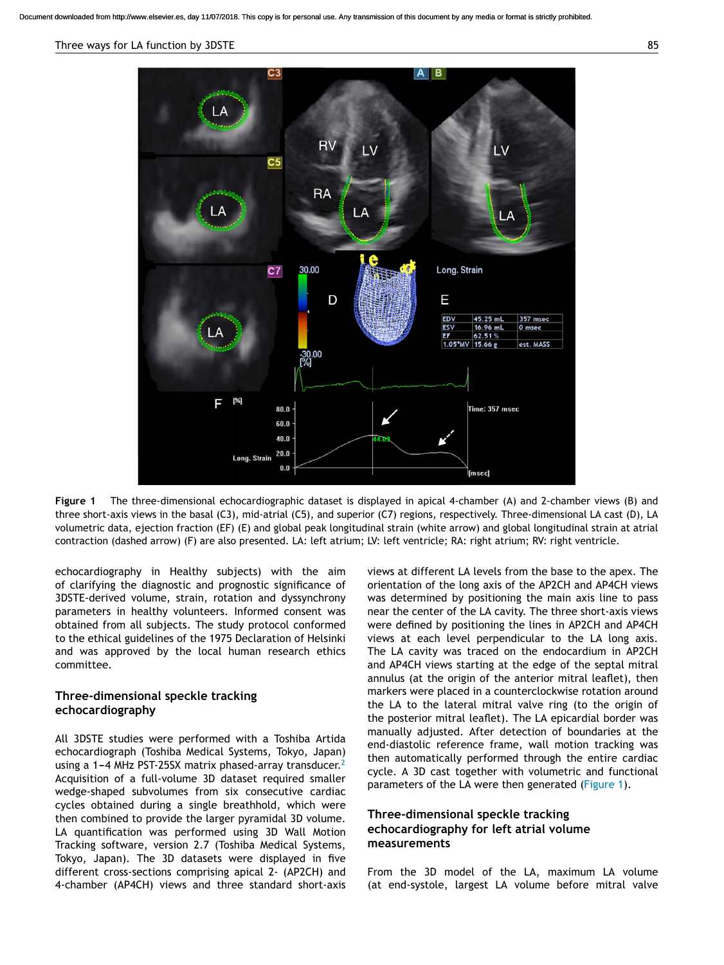

**Figure 1** The three-dimensional echocardiographic dataset is displayed in apical 4-chamber (A) and 2-chamber views (B) and three short-axis views in the basal (C3), mid-atrial (C5), and superior (C7) regions, respectively. Three-dimensional LA cast (D), LA volumetric data, ejection fraction (EF) (E) and global peak longitudinal strain (white arrow) and global longitudinal strain at atrial contraction (dashed arrow) (F) are also presented. LA: left atrium; LV: left ventricle; RA: right atrium; RV: right ventricle.

echocardiography in Healthy subjects) with the aim of clarifying the diagnostic and prognostic significance of 3DSTE-derived volume, strain, rotation and dyssynchrony parameters in healthy volunteers. Informed consent was obtained from all subjects. The study protocol conformed to the ethical guidelines of the 1975 Declaration of Helsinki and was approved by the local human research ethics committee.

## **Three-dimensional speckle tracking echocardiography**

All 3DSTE studies were performed with a Toshiba Artida echocardiograph (Toshiba Medical Systems, Tokyo, Japan) using a 1-4 MHz PST-25SX matrix phased-array transducer.<sup>2</sup> Acquisition of a full-volume 3D dataset required smaller wedge-shaped subvolumes from six consecutive cardiac cycles obtained during a single breathhold, which were then combined to provide the larger pyramidal 3D volume. LA quantification was performed using 3D Wall Motion Tracking software, version 2.7 (Toshiba Medical Systems, Tokyo, Japan). The 3D datasets were displayed in five different cross-sections comprising apical 2- (AP2CH) and 4-chamber (AP4CH) views and three standard short-axis

views at different LA levels from the base to the apex. The orientation of the long axis of the AP2CH and AP4CH views was determined by positioning the main axis line to pass near the center of the LA cavity. The three short-axis views were defined by positioning the lines in AP2CH and AP4CH views at each level perpendicular to the LA long axis. The LA cavity was traced on the endocardium in AP2CH and AP4CH views starting at the edge of the septal mitral annulus (at the origin of the anterior mitral leaflet), then markers were placed in a counterclockwise rotation around the LA to the lateral mitral valve ring (to the origin of the posterior mitral leaflet). The LA epicardial border was manually adjusted. After detection of boundaries at the end-diastolic reference frame, wall motion tracking was then automatically performed through the entire cardiac cycle. A 3D cast together with volumetric and functional parameters of the LA were then generated (Figure 1).

## **Three-dimensional speckle tracking echocardiography for left atrial volume measurements**

From the 3D model of the LA, maximum LA volume (at end-systole, largest LA volume before mitral valve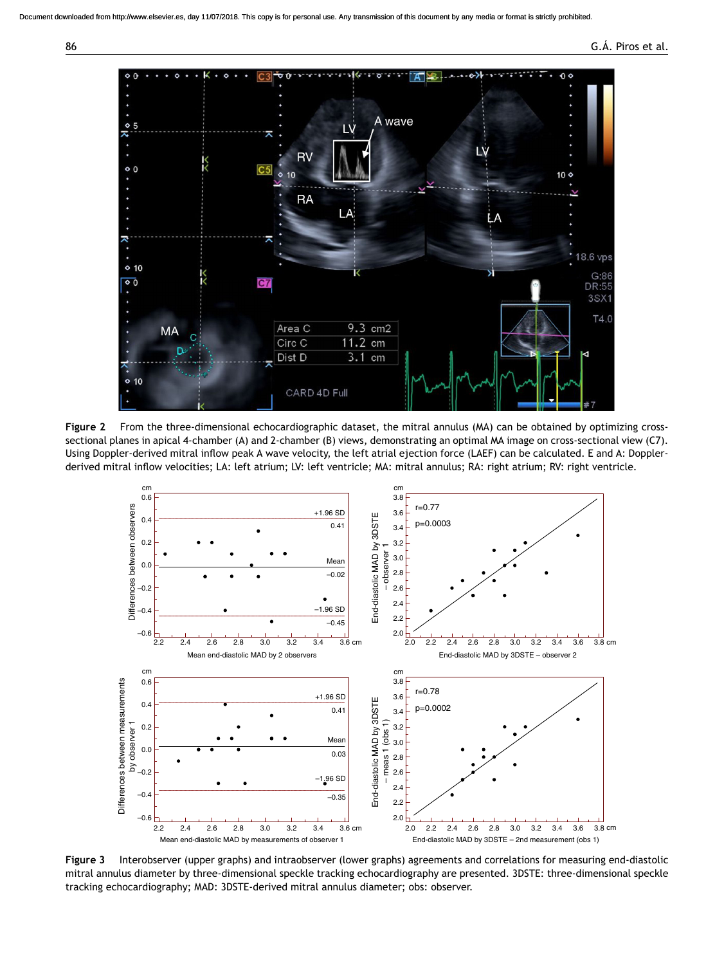

**Figure 2** From the three-dimensional echocardiographic dataset, the mitral annulus (MA) can be obtained by optimizing crosssectional planes in apical 4-chamber (A) and 2-chamber (B) views, demonstrating an optimal MA image on cross-sectional view (C7). Using Doppler-derived mitral inflow peak A wave velocity, the left atrial ejection force (LAEF) can be calculated. E and A: Dopplerderived mitral inflow velocities; LA: left atrium; LV: left ventricle; MA: mitral annulus; RA: right atrium; RV: right ventricle.



**Figure 3** Interobserver (upper graphs) and intraobserver (lower graphs) agreements and correlations for measuring end-diastolic mitral annulus diameter by three-dimensional speckle tracking echocardiography are presented. 3DSTE: three-dimensional speckle tracking echocardiography; MAD: 3DSTE-derived mitral annulus diameter; obs: observer.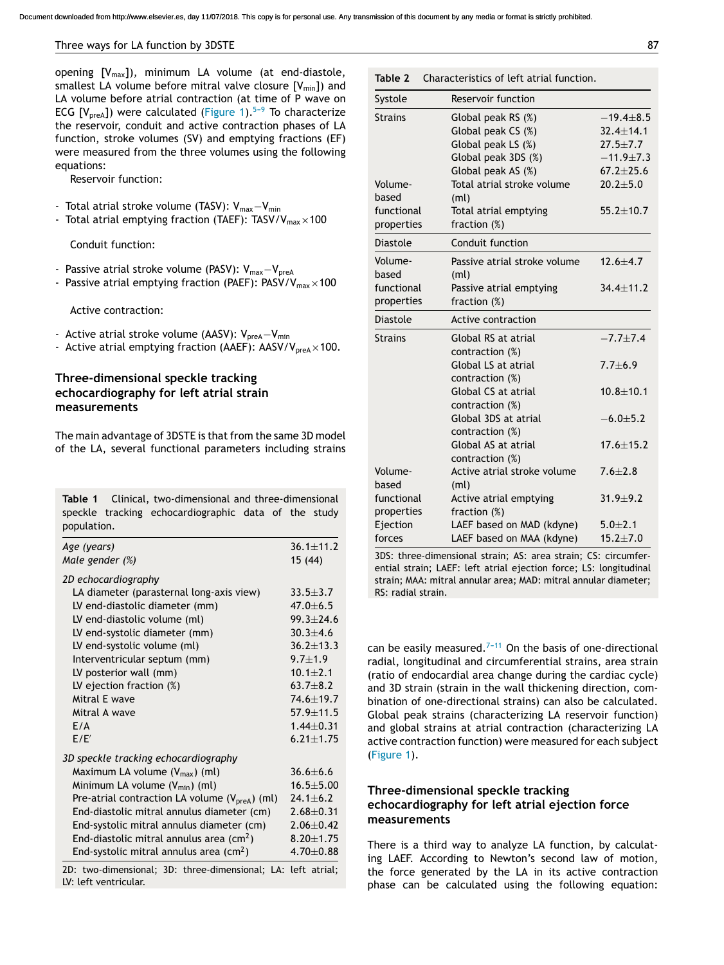#### Three ways for LA function by 3DSTE 87

opening  $[V_{max}]$ ), minimum LA volume (at end-diastole, smallest LA volume before mitral valve closure  $[V_{min}]$ ) and LA volume before atrial contraction (at time of P wave on ECG  $[V<sub>preA</sub>]$ ) were calculated (Figure 1).<sup>5-9</sup> To characterize the reservoir, conduit and active contraction phases of LA function, stroke volumes (SV) and emptying fractions (EF) were measured from the three volumes using the following equations:

Reservoir function:

- Total atrial stroke volume (TASV): V<sub>max</sub>−V<sub>min</sub>
- Total atrial emptying fraction (TAEF): TASV/ $V_{max} \times 100$

Conduit function:

- Passive atrial stroke volume (PASV): V<sub>max</sub>−V<sub>preA</sub>
- Passive atrial emptying fraction (PAEF):  $PASV/V_{max} \times 100$

Active contraction:

- Active atrial stroke volume (AASV): V<sub>preA</sub>−V<sub>min</sub>
- Active atrial emptying fraction (AAEF): AASV/V<sub>preA</sub> $\times$ 100.

#### **Three-dimensional speckle tracking echocardiography for left atrial strain measurements**

The main advantage of 3DSTE is that from the same 3D model of the LA, several functional parameters including strains

**Table 1** Clinical, two-dimensional and three-dimensional speckle tracking echocardiographic data of the study population.

| Age (years)                                                  | $36.1 \pm 11.2$ |
|--------------------------------------------------------------|-----------------|
| Male gender $(\%)$                                           | 15 (44)         |
| 2D echocardiography                                          |                 |
| LA diameter (parasternal long-axis view)                     | $33.5 + 3.7$    |
| LV end-diastolic diameter (mm)                               | $47.0 \pm 6.5$  |
| LV end-diastolic volume (ml)                                 | $99.3 + 24.6$   |
| LV end-systolic diameter (mm)                                | $30.3 + 4.6$    |
| LV end-systolic volume (ml)                                  | $36.2 \pm 13.3$ |
| Interventricular septum (mm)                                 | $9.7 + 1.9$     |
| LV posterior wall (mm)                                       | $10.1 + 2.1$    |
| LV ejection fraction $(\%)$                                  | $63.7 + 8.2$    |
| Mitral E wave                                                | $74.6 + 19.7$   |
| Mitral A wave                                                | $57.9 + 11.5$   |
| E/A                                                          | $1.44 + 0.31$   |
| E/E'                                                         | $6.21 \pm 1.75$ |
| 3D speckle tracking echocardiography                         |                 |
| Maximum LA volume $(V_{max})$ (ml)                           | $36.6 + 6.6$    |
| Minimum LA volume $(V_{min})$ (ml)                           | $16.5 + 5.00$   |
| Pre-atrial contraction LA volume $(V_{\text{preA}})$ (ml)    | $24.1 + 6.2$    |
| End-diastolic mitral annulus diameter (cm)                   | $2.68 + 0.31$   |
| End-systolic mitral annulus diameter (cm)                    | $2.06 \pm 0.42$ |
| End-diastolic mitral annulus area $(cm2)$                    | $8.20 \pm 1.75$ |
| End-systolic mitral annulus area $\text{(cm}^2\text{)}$      | $4.70 + 0.88$   |
| 2D: two-dimensional; 3D: three-dimensional; LA: left atrial; |                 |

LV: left ventricular.

| Table 2<br>Characteristics of left atrial function. |  |  |
|-----------------------------------------------------|--|--|
|-----------------------------------------------------|--|--|

| Systole                             | Reservoir function                      |                 |
|-------------------------------------|-----------------------------------------|-----------------|
| <b>Strains</b>                      | $-19.4 \pm 8.5$<br>Global peak RS (%)   |                 |
|                                     | Global peak CS (%)                      | $32.4 + 14.1$   |
|                                     | Global peak LS (%)                      | $27.5 \pm 7.7$  |
|                                     | Global peak 3DS (%)                     | $-11.9 \pm 7.3$ |
|                                     | Global peak AS (%)                      | $67.2 + 25.6$   |
| Volume-                             | Total atrial stroke volume              | $20.2 + 5.0$    |
| based                               | (ml)                                    |                 |
| functional                          | Total atrial emptying                   | $55.2 + 10.7$   |
| properties                          | fraction (%)                            |                 |
| Diastole                            | Conduit function                        |                 |
| Volume-<br>based                    | Passive atrial stroke volume<br>(ml)    | $12.6 \pm 4.7$  |
| functional                          | Passive atrial emptying                 | $34.4 + 11.2$   |
| properties                          | fraction (%)                            |                 |
| Diastole                            |                                         |                 |
|                                     | Active contraction                      |                 |
| <b>Strains</b>                      | Global RS at atrial                     | $-7.7 \pm 7.4$  |
|                                     | contraction (%)                         |                 |
|                                     | <b>Global LS at atrial</b>              | $7.7 + 6.9$     |
|                                     | contraction (%)                         |                 |
|                                     | <b>Global CS at atrial</b>              | $10.8 + 10.1$   |
|                                     | contraction (%)                         |                 |
|                                     | Global 3DS at atrial<br>contraction (%) | $-6.0 + 5.2$    |
|                                     | Global AS at atrial                     | $17.6 \pm 15.2$ |
|                                     | contraction (%)                         |                 |
| Volume-                             | Active atrial stroke volume             | $7.6 + 7.8$     |
| based                               | (ml)                                    |                 |
| functional                          | Active atrial emptying                  | $31.9 + 9.2$    |
| properties                          | fraction (%)                            |                 |
| Ejection                            | LAEF based on MAD (kdyne)               | $5.0 \pm 2.1$   |
| forces<br>LAEF based on MAA (kdyne) |                                         | $15.2 + 7.0$    |
|                                     |                                         |                 |

3DS: three-dimensional strain; AS: area strain; CS: circumferential strain; LAEF: left atrial ejection force; LS: longitudinal strain; MAA: mitral annular area; MAD: mitral annular diameter; RS: radial strain.

can be easily measured.<sup>7-11</sup> On the basis of one-directional radial, longitudinal and circumferential strains, area strain (ratio of endocardial area change during the cardiac cycle) and 3D strain (strain in the wall thickening direction, combination of one-directional strains) can also be calculated. Global peak strains (characterizing LA reservoir function) and global strains at atrial contraction (characterizing LA active contraction function) were measured for each subject (Figure 1).

## **Three-dimensional speckle tracking echocardiography for left atrial ejection force measurements**

There is a third way to analyze LA function, by calculating LAEF. According to Newton's second law of motion, the force generated by the LA in its active contraction phase can be calculated using the following equation: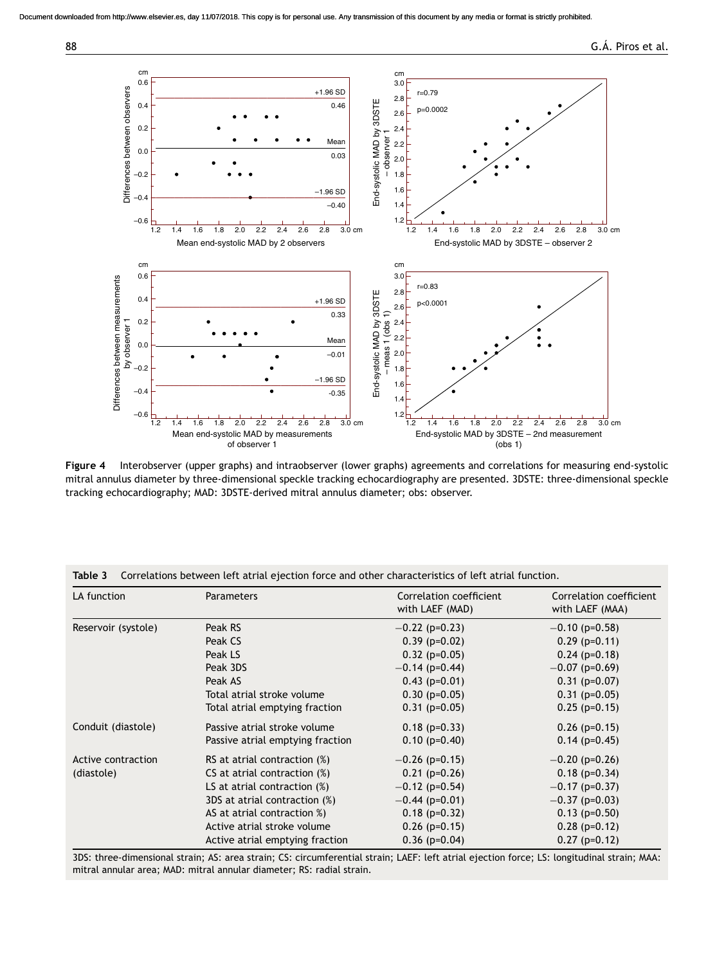



**Figure 4** Interobserver (upper graphs) and intraobserver (lower graphs) agreements and correlations for measuring end-systolic mitral annulus diameter by three-dimensional speckle tracking echocardiography are presented. 3DSTE: three-dimensional speckle tracking echocardiography; MAD: 3DSTE-derived mitral annulus diameter; obs: observer.

| LA function                      | <b>Parameters</b>                | Correlation coefficient<br>with LAEF (MAD) | Correlation coefficient<br>with LAEF (MAA) |
|----------------------------------|----------------------------------|--------------------------------------------|--------------------------------------------|
| Reservoir (systole)              | Peak RS                          | $-0.22$ (p=0.23)                           | $-0.10$ (p=0.58)                           |
|                                  | Peak CS                          | $0.39$ ( $p=0.02$ )                        | $0.29$ ( $p=0.11$ )                        |
|                                  | Peak LS                          | $0.32$ (p= $0.05$ )                        | $0.24$ ( $p=0.18$ )                        |
|                                  | Peak 3DS                         | $-0.14$ (p=0.44)                           | $-0.07$ (p=0.69)                           |
|                                  | Peak AS                          | $0.43$ (p= $0.01$ )                        | $0.31$ (p=0.07)                            |
|                                  | Total atrial stroke volume       | $0.30$ (p=0.05)                            | $0.31$ (p=0.05)                            |
|                                  | Total atrial emptying fraction   | $0.31$ (p=0.05)                            | $0.25$ (p=0.15)                            |
| Conduit (diastole)               | Passive atrial stroke volume     | $0.18$ ( $p=0.33$ )                        | $0.26$ (p=0.15)                            |
|                                  | Passive atrial emptying fraction | $0.10$ (p= $0.40$ )                        | $0.14$ ( $p=0.45$ )                        |
| Active contraction<br>(diastole) | RS at atrial contraction (%)     | $-0.26$ (p=0.15)                           | $-0.20$ (p=0.26)                           |
|                                  | CS at atrial contraction (%)     | $0.21$ (p=0.26)                            | $0.18$ (p=0.34)                            |
|                                  | LS at atrial contraction $(\%)$  | $-0.12$ (p=0.54)                           | $-0.17$ (p=0.37)                           |
|                                  | 3DS at atrial contraction (%)    | $-0.44$ (p=0.01)                           | $-0.37$ (p=0.03)                           |
|                                  | AS at atrial contraction %)      | $0.18$ (p= $0.32$ )                        | $0.13$ (p= $0.50$ )                        |
|                                  | Active atrial stroke volume      | $0.26$ (p=0.15)                            | $0.28$ (p=0.12)                            |
|                                  | Active atrial emptying fraction  | $0.36$ (p=0.04)                            | $0.27$ (p=0.12)                            |

**Table 3** Correlations between left atrial ejection force and other characteristics of left atrial function.

3DS: three-dimensional strain; AS: area strain; CS: circumferential strain; LAEF: left atrial ejection force; LS: longitudinal strain; MAA: mitral annular area; MAD: mitral annular diameter; RS: radial strain.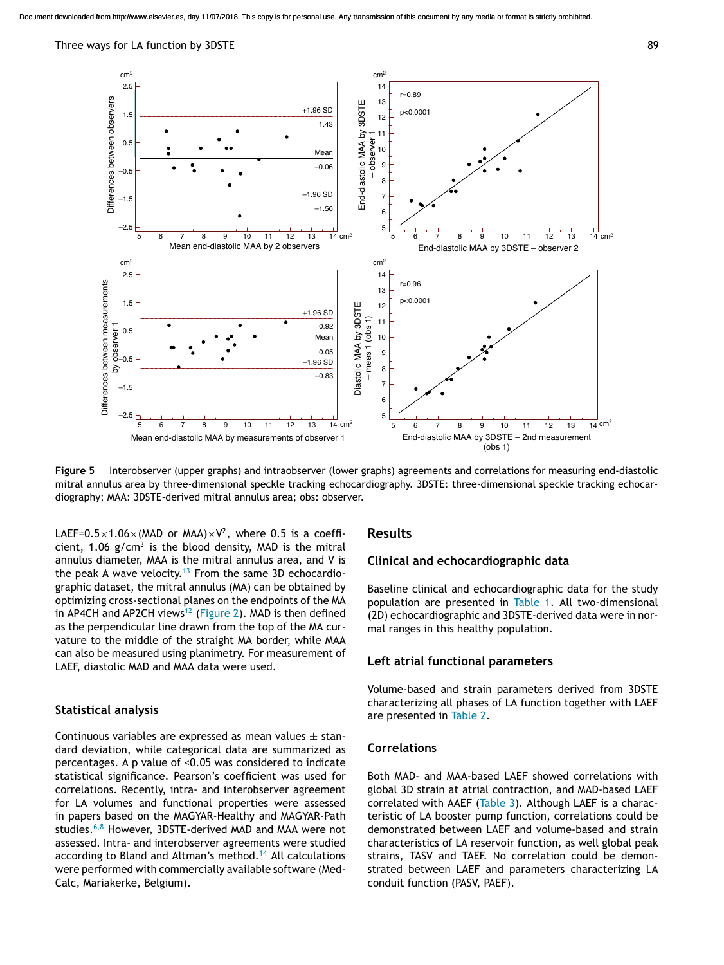

**Figure 5** Interobserver (upper graphs) and intraobserver (lower graphs) agreements and correlations for measuring end-diastolic mitral annulus area by three-dimensional speckle tracking echocardiography. 3DSTE: three-dimensional speckle tracking echocardiography; MAA: 3DSTE-derived mitral annulus area; obs: observer.

LAEF=0.5 $\times$ 1.06 $\times$ (MAD or MAA) $\times$ V<sup>2</sup>, where 0.5 is a coefficient, 1.06 g/cm<sup>3</sup> is the blood density, MAD is the mitral annulus diameter, MAA is the mitral annulus area, and V is the peak A wave velocity.<sup>13</sup> From the same 3D echocardiographic dataset, the mitral annulus (MA) can be obtained by optimizing cross-sectional planes on the endpoints of the MA in AP4CH and AP2CH views<sup>12</sup> (Figure 2). MAD is then defined as the perpendicular line drawn from the top of the MA curvature to the middle of the straight MA border, while MAA can also be measured using planimetry. For measurement of LAEF, diastolic MAD and MAA data were used.

#### **Statistical analysis**

Continuous variables are expressed as mean values  $\pm$  standard deviation, while categorical data are summarized as percentages. A p value of <0.05 was considered to indicate statistical significance. Pearson's coefficient was used for correlations. Recently, intra- and interobserver agreement for LA volumes and functional properties were assessed in papers based on the MAGYAR-Healthy and MAGYAR-Path studies.<sup>6,8</sup> However, 3DSTE-derived MAD and MAA were not assessed. Intra- and interobserver agreements were studied according to Bland and Altman's method.<sup>14</sup> All calculations were performed with commercially available software (Med-Calc, Mariakerke, Belgium).

#### **Results**

#### **Clinical and echocardiographic data**

Baseline clinical and echocardiographic data for the study population are presented in Table 1. All two-dimensional (2D) echocardiographic and 3DSTE-derived data were in normal ranges in this healthy population.

#### **Left atrial functional parameters**

Volume-based and strain parameters derived from 3DSTE characterizing all phases of LA function together with LAEF are presented in Table 2.

#### **Correlations**

Both MAD- and MAA-based LAEF showed correlations with global 3D strain at atrial contraction, and MAD-based LAEF correlated with AAEF (Table 3). Although LAEF is a characteristic of LA booster pump function, correlations could be demonstrated between LAEF and volume-based and strain characteristics of LA reservoir function, as well global peak strains, TASV and TAEF. No correlation could be demonstrated between LAEF and parameters characterizing LA conduit function (PASV, PAEF).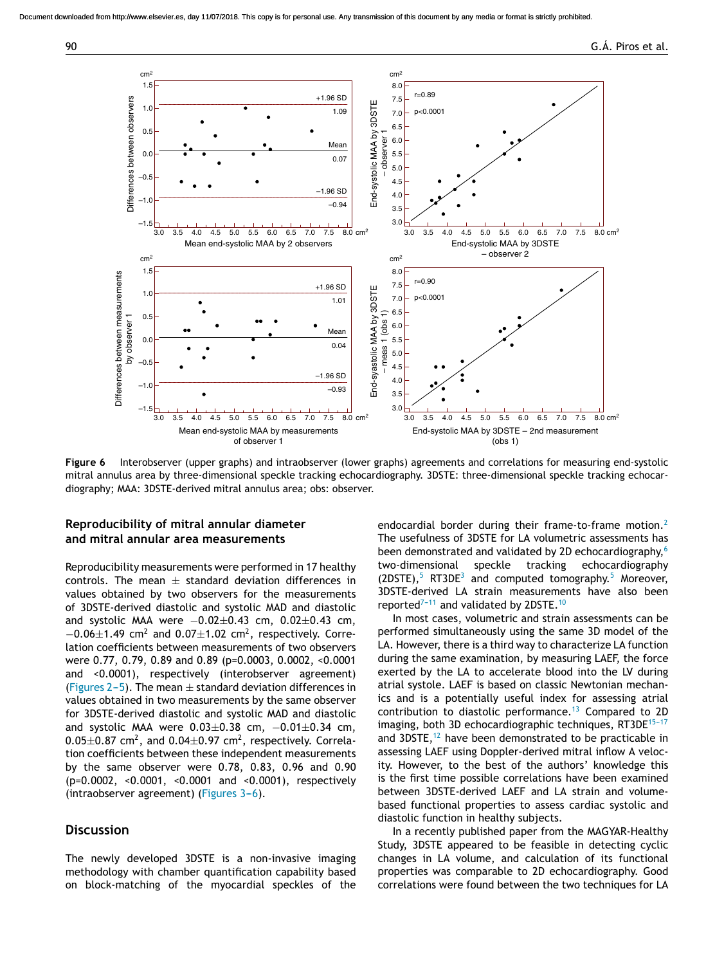



**Figure 6** Interobserver (upper graphs) and intraobserver (lower graphs) agreements and correlations for measuring end-systolic mitral annulus area by three-dimensional speckle tracking echocardiography. 3DSTE: three-dimensional speckle tracking echocardiography; MAA: 3DSTE-derived mitral annulus area; obs: observer.

## **Reproducibility of mitral annular diameter and mitral annular area measurements**

Reproducibility measurements were performed in 17 healthy controls. The mean  $\pm$  standard deviation differences in values obtained by two observers for the measurements of 3DSTE-derived diastolic and systolic MAD and diastolic and systolic MAA were -0.02±0.43 cm, 0.02±0.43 cm,  $-0.06 \pm 1.49$  cm<sup>2</sup> and  $0.07 \pm 1.02$  cm<sup>2</sup>, respectively. Correlation coefficients between measurements of two observers were 0.77, 0.79, 0.89 and 0.89 (p=0.0003, 0.0002, <0.0001 and <0.0001), respectively (interobserver agreement) (Figures 2–5). The mean  $\pm$  standard deviation differences in values obtained in two measurements by the same observer for 3DSTE-derived diastolic and systolic MAD and diastolic and systolic MAA were 0.03±0.38 cm, −0.01±0.34 cm,  $0.05 \pm 0.87$  cm<sup>2</sup>, and  $0.04 \pm 0.97$  cm<sup>2</sup>, respectively. Correlation coefficients between these independent measurements by the same observer were 0.78, 0.83, 0.96 and 0.90 (p=0.0002, <0.0001, <0.0001 and <0.0001), respectively (intraobserver agreement) (Figures  $3-6$ ).

## **Discussion**

The newly developed 3DSTE is a non-invasive imaging methodology with chamber quantification capability based on block-matching of the myocardial speckles of the endocardial border during their frame-to-frame motion.<sup>2</sup> The usefulness of 3DSTE for LA volumetric assessments has been demonstrated and validated by 2D echocardiography,<sup>6</sup> two-dimensional speckle tracking echocardiography  $(2DSTE)$ ,<sup>5</sup> RT3DE<sup>3</sup> and computed tomography.<sup>5</sup> Moreover, 3DSTE-derived LA strain measurements have also been reported $7-11$  and validated by 2DSTE.<sup>10</sup>

In most cases, volumetric and strain assessments can be performed simultaneously using the same 3D model of the LA. However, there is a third way to characterize LA function during the same examination, by measuring LAEF, the force exerted by the LA to accelerate blood into the LV during atrial systole. LAEF is based on classic Newtonian mechanics and is a potentially useful index for assessing atrial contribution to diastolic performance.<sup>13</sup> Compared to 2D imaging, both 3D echocardiographic techniques, RT3DE<sup>15-17</sup> and 3DSTE, $12$  have been demonstrated to be practicable in assessing LAEF using Doppler-derived mitral inflow A velocity. However, to the best of the authors' knowledge this is the first time possible correlations have been examined between 3DSTE-derived LAEF and LA strain and volumebased functional properties to assess cardiac systolic and diastolic function in healthy subjects.

In a recently published paper from the MAGYAR-Healthy Study, 3DSTE appeared to be feasible in detecting cyclic changes in LA volume, and calculation of its functional properties was comparable to 2D echocardiography. Good correlations were found between the two techniques for LA